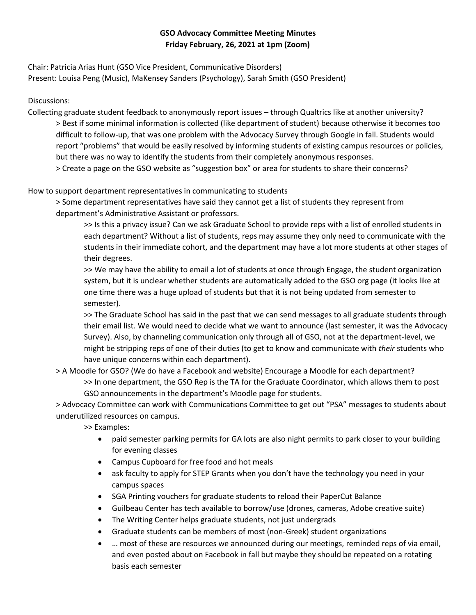# **GSO Advocacy Committee Meeting Minutes Friday February, 26, 2021 at 1pm (Zoom)**

Chair: Patricia Arias Hunt (GSO Vice President, Communicative Disorders) Present: Louisa Peng (Music), MaKensey Sanders (Psychology), Sarah Smith (GSO President)

## Discussions:

Collecting graduate student feedback to anonymously report issues – through Qualtrics like at another university? > Best if some minimal information is collected (like department of student) because otherwise it becomes too difficult to follow-up, that was one problem with the Advocacy Survey through Google in fall. Students would report "problems" that would be easily resolved by informing students of existing campus resources or policies, but there was no way to identify the students from their completely anonymous responses.

> Create a page on the GSO website as "suggestion box" or area for students to share their concerns?

# How to support department representatives in communicating to students

> Some department representatives have said they cannot get a list of students they represent from department's Administrative Assistant or professors.

>> Is this a privacy issue? Can we ask Graduate School to provide reps with a list of enrolled students in each department? Without a list of students, reps may assume they only need to communicate with the students in their immediate cohort, and the department may have a lot more students at other stages of their degrees.

>> We may have the ability to email a lot of students at once through Engage, the student organization system, but it is unclear whether students are automatically added to the GSO org page (it looks like at one time there was a huge upload of students but that it is not being updated from semester to semester).

>> The Graduate School has said in the past that we can send messages to all graduate students through their email list. We would need to decide what we want to announce (last semester, it was the Advocacy Survey). Also, by channeling communication only through all of GSO, not at the department-level, we might be stripping reps of one of their duties (to get to know and communicate with *their* students who have unique concerns within each department).

> A Moodle for GSO? (We do have a Facebook and website) Encourage a Moodle for each department? >> In one department, the GSO Rep is the TA for the Graduate Coordinator, which allows them to post GSO announcements in the department's Moodle page for students.

> Advocacy Committee can work with Communications Committee to get out "PSA" messages to students about underutilized resources on campus.

>> Examples:

- paid semester parking permits for GA lots are also night permits to park closer to your building for evening classes
- Campus Cupboard for free food and hot meals
- ask faculty to apply for STEP Grants when you don't have the technology you need in your campus spaces
- SGA Printing vouchers for graduate students to reload their PaperCut Balance
- Guilbeau Center has tech available to borrow/use (drones, cameras, Adobe creative suite)
- The Writing Center helps graduate students, not just undergrads
- Graduate students can be members of most (non-Greek) student organizations
- ... most of these are resources we announced during our meetings, reminded reps of via email, and even posted about on Facebook in fall but maybe they should be repeated on a rotating basis each semester